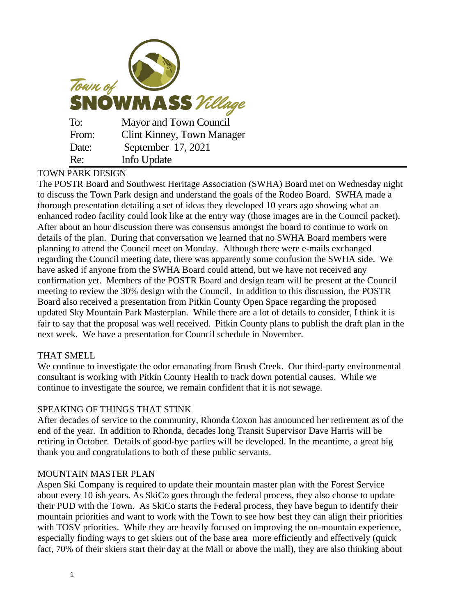| Town of<br><b>SNOWMASS</b> Village |                                   |
|------------------------------------|-----------------------------------|
| To:                                | Mayor and Town Council            |
| From:                              | <b>Clint Kinney, Town Manager</b> |
| Date:                              | September 17, 2021                |
| Re:                                | Info Update                       |

# TOWN PARK DESIGN

The POSTR Board and Southwest Heritage Association (SWHA) Board met on Wednesday night to discuss the Town Park design and understand the goals of the Rodeo Board. SWHA made a thorough presentation detailing a set of ideas they developed 10 years ago showing what an enhanced rodeo facility could look like at the entry way (those images are in the Council packet). After about an hour discussion there was consensus amongst the board to continue to work on details of the plan. During that conversation we learned that no SWHA Board members were planning to attend the Council meet on Monday. Although there were e-mails exchanged regarding the Council meeting date, there was apparently some confusion the SWHA side. We have asked if anyone from the SWHA Board could attend, but we have not received any confirmation yet. Members of the POSTR Board and design team will be present at the Council meeting to review the 30% design with the Council. In addition to this discussion, the POSTR Board also received a presentation from Pitkin County Open Space regarding the proposed updated Sky Mountain Park Masterplan. While there are a lot of details to consider, I think it is fair to say that the proposal was well received. Pitkin County plans to publish the draft plan in the next week. We have a presentation for Council schedule in November.

### THAT SMELL

We continue to investigate the odor emanating from Brush Creek. Our third-party environmental consultant is working with Pitkin County Health to track down potential causes. While we continue to investigate the source, we remain confident that it is not sewage.

### SPEAKING OF THINGS THAT STINK

After decades of service to the community, Rhonda Coxon has announced her retirement as of the end of the year. In addition to Rhonda, decades long Transit Supervisor Dave Harris will be retiring in October. Details of good-bye parties will be developed. In the meantime, a great big thank you and congratulations to both of these public servants.

### MOUNTAIN MASTER PLAN

Aspen Ski Company is required to update their mountain master plan with the Forest Service about every 10 ish years. As SkiCo goes through the federal process, they also choose to update their PUD with the Town. As SkiCo starts the Federal process, they have begun to identify their mountain priorities and want to work with the Town to see how best they can align their priorities with TOSV priorities. While they are heavily focused on improving the on-mountain experience, especially finding ways to get skiers out of the base area more efficiently and effectively (quick fact, 70% of their skiers start their day at the Mall or above the mall), they are also thinking about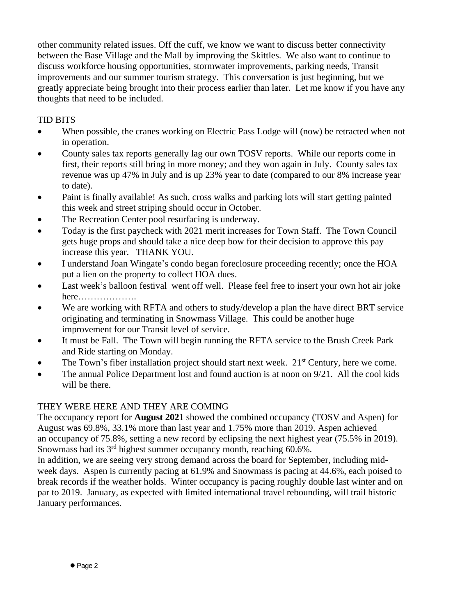other community related issues. Off the cuff, we know we want to discuss better connectivity between the Base Village and the Mall by improving the Skittles. We also want to continue to discuss workforce housing opportunities, stormwater improvements, parking needs, Transit improvements and our summer tourism strategy. This conversation is just beginning, but we greatly appreciate being brought into their process earlier than later. Let me know if you have any thoughts that need to be included.

### TID BITS

- When possible, the cranes working on Electric Pass Lodge will (now) be retracted when not in operation.
- County sales tax reports generally lag our own TOSV reports. While our reports come in first, their reports still bring in more money; and they won again in July. County sales tax revenue was up 47% in July and is up 23% year to date (compared to our 8% increase year to date).
- Paint is finally available! As such, cross walks and parking lots will start getting painted this week and street striping should occur in October.
- The Recreation Center pool resurfacing is underway.
- Today is the first paycheck with 2021 merit increases for Town Staff. The Town Council gets huge props and should take a nice deep bow for their decision to approve this pay increase this year. THANK YOU.
- I understand Joan Wingate's condo began foreclosure proceeding recently; once the HOA put a lien on the property to collect HOA dues.
- Last week's balloon festival went off well. Please feel free to insert your own hot air joke here……………….
- We are working with RFTA and others to study/develop a plan the have direct BRT service originating and terminating in Snowmass Village. This could be another huge improvement for our Transit level of service.
- It must be Fall. The Town will begin running the RFTA service to the Brush Creek Park and Ride starting on Monday.
- The Town's fiber installation project should start next week.  $21<sup>st</sup>$  Century, here we come.
- The annual Police Department lost and found auction is at noon on 9/21. All the cool kids will be there.

# THEY WERE HERE AND THEY ARE COMING

The occupancy report for **August 2021** showed the combined occupancy (TOSV and Aspen) for August was 69.8%, 33.1% more than last year and 1.75% more than 2019. Aspen achieved an occupancy of 75.8%, setting a new record by eclipsing the next highest year (75.5% in 2019). Snowmass had its 3<sup>rd</sup> highest summer occupancy month, reaching 60.6%.

In addition, we are seeing very strong demand across the board for September, including midweek days. Aspen is currently pacing at 61.9% and Snowmass is pacing at 44.6%, each poised to break records if the weather holds. Winter occupancy is pacing roughly double last winter and on par to 2019. January, as expected with limited international travel rebounding, will trail historic January performances.